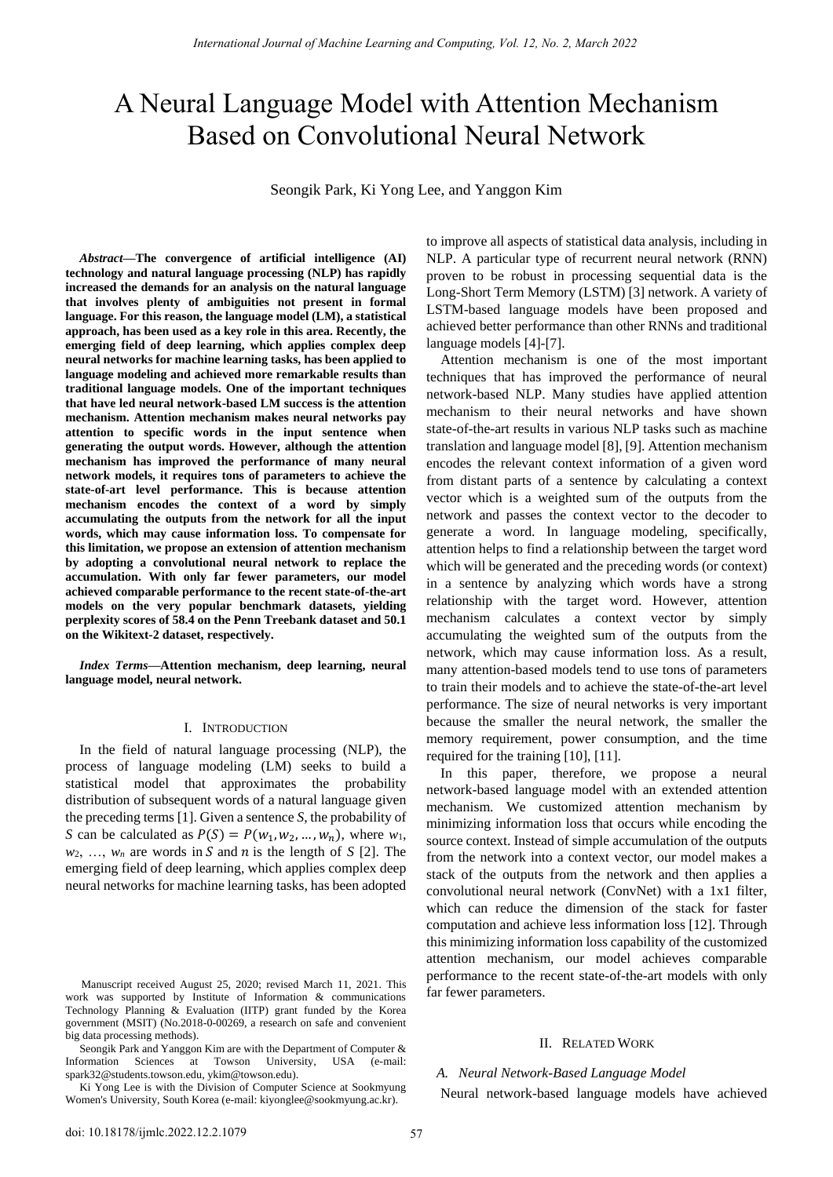# A Neural Language Model with Attention Mechanism Based on Convolutional Neural Network

Seongik Park, Ki Yong Lee, and Yanggon Kim

*Abstract***—The convergence of artificial intelligence (AI) technology and natural language processing (NLP) has rapidly increased the demands for an analysis on the natural language that involves plenty of ambiguities not present in formal language. For this reason, the language model (LM), a statistical approach, has been used as a key role in this area. Recently, the emerging field of deep learning, which applies complex deep neural networks for machine learning tasks, has been applied to language modeling and achieved more remarkable results than traditional language models. One of the important techniques that have led neural network-based LM success is the attention mechanism. Attention mechanism makes neural networks pay attention to specific words in the input sentence when generating the output words. However, although the attention mechanism has improved the performance of many neural network models, it requires tons of parameters to achieve the state-of-art level performance. This is because attention mechanism encodes the context of a word by simply accumulating the outputs from the network for all the input words, which may cause information loss. To compensate for this limitation, we propose an extension of attention mechanism by adopting a convolutional neural network to replace the accumulation. With only far fewer parameters, our model achieved comparable performance to the recent state-of-the-art models on the very popular benchmark datasets, yielding perplexity scores of 58.4 on the Penn Treebank dataset and 50.1 on the Wikitext-2 dataset, respectively.** 

*Index Terms***—Attention mechanism, deep learning, neural language model, neural network.** 

#### I. INTRODUCTION

In the field of natural language processing (NLP), the process of language modeling (LM) seeks to build a statistical model that approximates the probability distribution of subsequent words of a natural language given the preceding terms [1]. Given a sentence *S*, the probability of *S* can be calculated as  $P(S) = P(w_1, w_2, ..., w_n)$ , where  $w_1$ ,  $w_2, \ldots, w_n$  are words in *S* and *n* is the length of *S* [2]. The emerging field of deep learning, which applies complex deep neural networks for machine learning tasks, has been adopted

Seongik Park and Yanggon Kim are with the Department of Computer & Information Sciences at Towson University, USA (e-mail: spark32@students.towson.edu, ykim@towson.edu).

Ki Yong Lee is with the Division of Computer Science at Sookmyung Women's University, South Korea (e-mail: kiyonglee@sookmyung.ac.kr).

to improve all aspects of statistical data analysis, including in NLP. A particular type of recurrent neural network (RNN) proven to be robust in processing sequential data is the Long-Short Term Memory (LSTM) [3] network. A variety of LSTM-based language models have been proposed and achieved better performance than other RNNs and traditional language models [4]-[7].

Attention mechanism is one of the most important techniques that has improved the performance of neural network-based NLP. Many studies have applied attention mechanism to their neural networks and have shown state-of-the-art results in various NLP tasks such as machine translation and language model [8], [9]. Attention mechanism encodes the relevant context information of a given word from distant parts of a sentence by calculating a context vector which is a weighted sum of the outputs from the network and passes the context vector to the decoder to generate a word. In language modeling, specifically, attention helps to find a relationship between the target word which will be generated and the preceding words (or context) in a sentence by analyzing which words have a strong relationship with the target word. However, attention mechanism calculates a context vector by simply accumulating the weighted sum of the outputs from the network, which may cause information loss. As a result, many attention-based models tend to use tons of parameters to train their models and to achieve the state-of-the-art level performance. The size of neural networks is very important because the smaller the neural network, the smaller the memory requirement, power consumption, and the time required for the training [10], [11].

In this paper, therefore, we propose a neural network-based language model with an extended attention mechanism. We customized attention mechanism by minimizing information loss that occurs while encoding the source context. Instead of simple accumulation of the outputs from the network into a context vector, our model makes a stack of the outputs from the network and then applies a convolutional neural network (ConvNet) with a 1x1 filter, which can reduce the dimension of the stack for faster computation and achieve less information loss [12]. Through this minimizing information loss capability of the customized attention mechanism, our model achieves comparable performance to the recent state-of-the-art models with only far fewer parameters.

## II. RELATED WORK

## *A. Neural Network-Based Language Model*

Neural network-based language models have achieved

Manuscript received August 25, 2020; revised March 11, 2021. This work was supported by Institute of Information & communications Technology Planning & Evaluation (IITP) grant funded by the Korea government (MSIT) (No.2018-0-00269, a research on safe and convenient big data processing methods).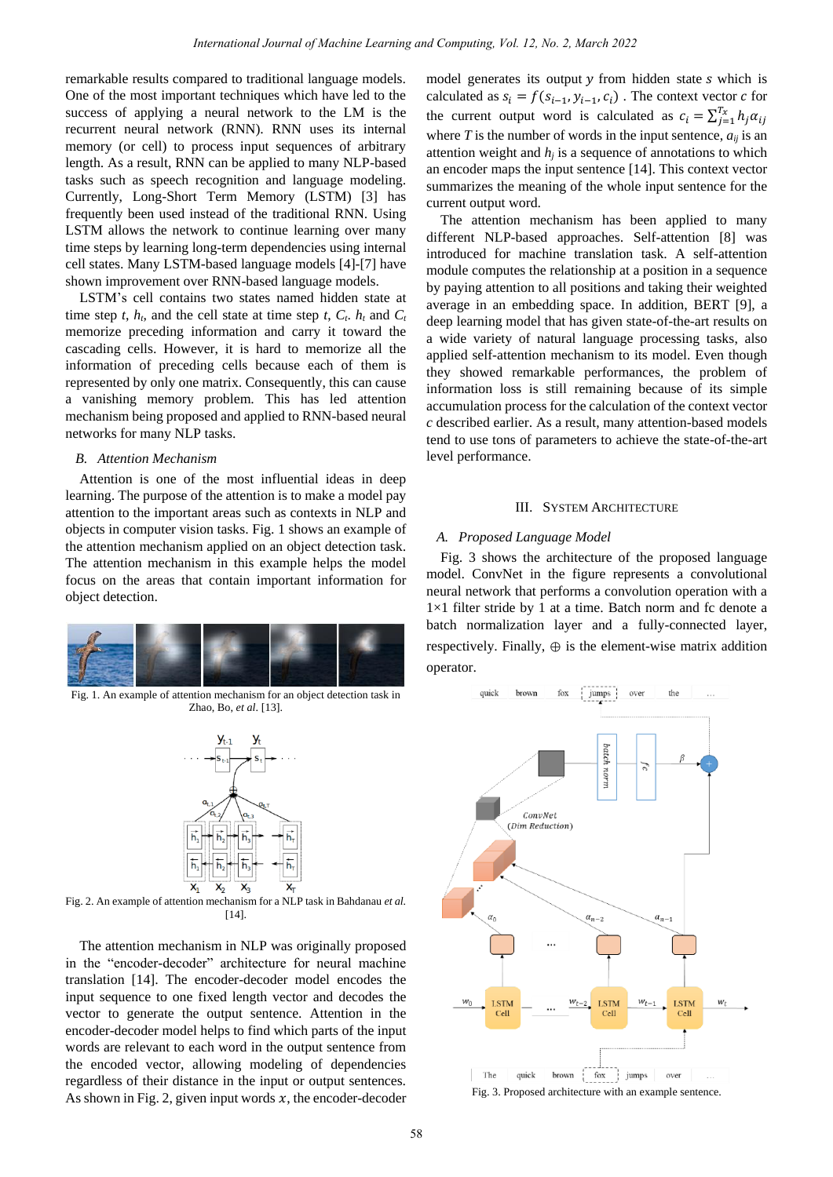remarkable results compared to traditional language models. One of the most important techniques which have led to the success of applying a neural network to the LM is the recurrent neural network (RNN). RNN uses its internal memory (or cell) to process input sequences of arbitrary length. As a result, RNN can be applied to many NLP-based tasks such as speech recognition and language modeling. Currently, Long-Short Term Memory (LSTM) [3] has frequently been used instead of the traditional RNN. Using LSTM allows the network to continue learning over many time steps by learning long-term dependencies using internal cell states. Many LSTM-based language models [4]-[7] have shown improvement over RNN-based language models.

LSTM's cell contains two states named hidden state at time step *t*,  $h_t$ , and the cell state at time step *t*,  $C_t$ .  $h_t$  and  $C_t$ memorize preceding information and carry it toward the cascading cells. However, it is hard to memorize all the information of preceding cells because each of them is represented by only one matrix. Consequently, this can cause a vanishing memory problem. This has led attention mechanism being proposed and applied to RNN-based neural networks for many NLP tasks.

## *B. Attention Mechanism*

Attention is one of the most influential ideas in deep learning. The purpose of the attention is to make a model pay attention to the important areas such as contexts in NLP and objects in computer vision tasks. Fig. 1 shows an example of the attention mechanism applied on an object detection task. The attention mechanism in this example helps the model focus on the areas that contain important information for object detection.



Fig. 1. An example of attention mechanism for an object detection task in Zhao, Bo, *et al*. [13].



Fig. 2. An example of attention mechanism for a NLP task in Bahdanau *et al.* [14].

The attention mechanism in NLP was originally proposed in the "encoder-decoder" architecture for neural machine translation [14]. The encoder-decoder model encodes the input sequence to one fixed length vector and decodes the vector to generate the output sentence. Attention in the encoder-decoder model helps to find which parts of the input words are relevant to each word in the output sentence from the encoded vector, allowing modeling of dependencies regardless of their distance in the input or output sentences. As shown in Fig. 2, given input words  $x$ , the encoder-decoder model generates its output  $y$  from hidden state  $s$  which is calculated as  $s_i = f(s_{i-1}, y_{i-1}, c_i)$ . The context vector c for the current output word is calculated as  $c_i = \sum_{j=1}^{T_x} h_j \alpha_{ij}$ where  $T$  is the number of words in the input sentence,  $a_{ij}$  is an attention weight and  $h_i$  is a sequence of annotations to which an encoder maps the input sentence [14]. This context vector summarizes the meaning of the whole input sentence for the current output word.

The attention mechanism has been applied to many different NLP-based approaches. Self-attention [8] was introduced for machine translation task. A self-attention module computes the relationship at a position in a sequence by paying attention to all positions and taking their weighted average in an embedding space. In addition, BERT [9], a deep learning model that has given state-of-the-art results on a wide variety of natural language processing tasks, also applied self-attention mechanism to its model. Even though they showed remarkable performances, the problem of information loss is still remaining because of its simple accumulation process for the calculation of the context vector *c* described earlier. As a result, many attention-based models tend to use tons of parameters to achieve the state-of-the-art level performance.

## III. SYSTEM ARCHITECTURE

#### *A. Proposed Language Model*

Fig. 3 shows the architecture of the proposed language model. ConvNet in the figure represents a convolutional neural network that performs a convolution operation with a  $1 \times 1$  filter stride by 1 at a time. Batch norm and fc denote a batch normalization layer and a fully-connected layer, respectively. Finally,  $\oplus$  is the element-wise matrix addition operator.



Fig. 3. Proposed architecture with an example sentence.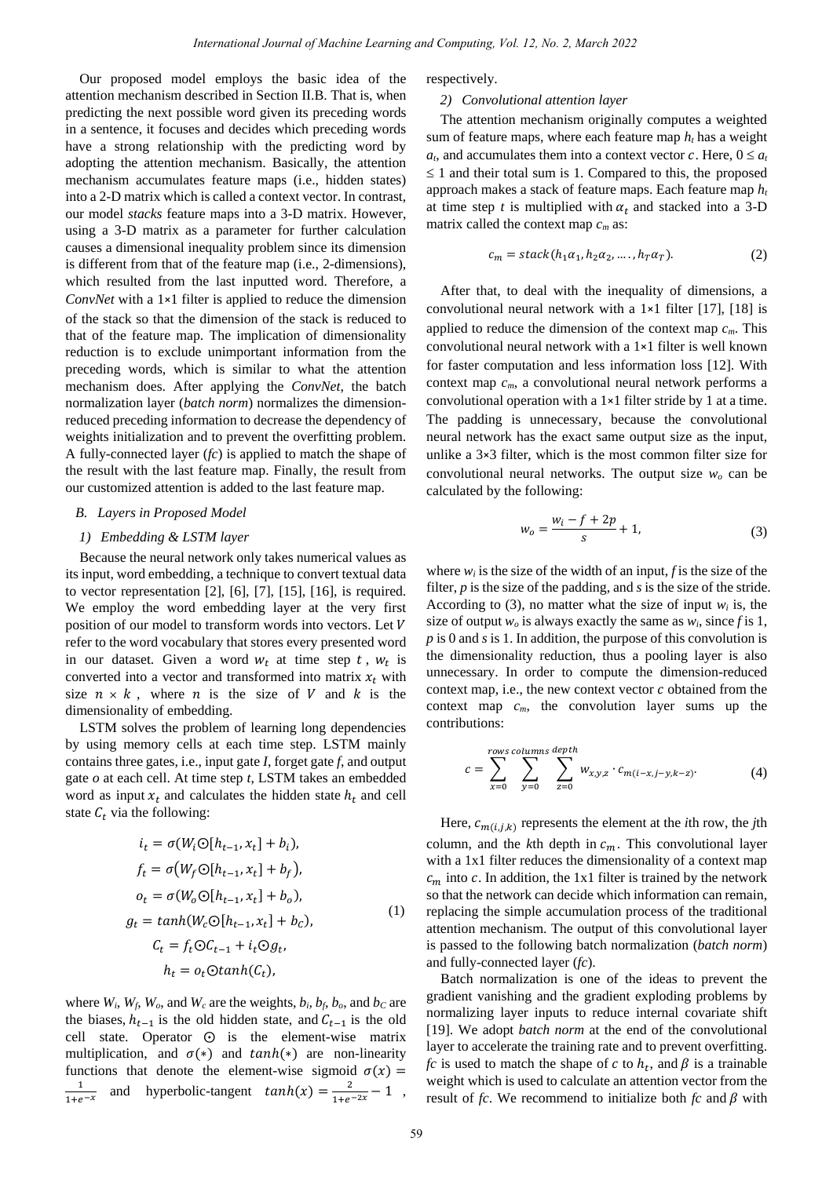Our proposed model employs the basic idea of the attention mechanism described in Section II.B. That is, when predicting the next possible word given its preceding words in a sentence, it focuses and decides which preceding words have a strong relationship with the predicting word by adopting the attention mechanism. Basically, the attention mechanism accumulates feature maps (i.e., hidden states) into a 2-D matrix which is called a context vector. In contrast, our model *stacks* feature maps into a 3-D matrix. However, using a 3-D matrix as a parameter for further calculation causes a dimensional inequality problem since its dimension is different from that of the feature map (i.e., 2-dimensions), which resulted from the last inputted word. Therefore, a *ConvNet* with a 1×1 filter is applied to reduce the dimension of the stack so that the dimension of the stack is reduced to that of the feature map. The implication of dimensionality reduction is to exclude unimportant information from the preceding words, which is similar to what the attention mechanism does. After applying the *ConvNet*, the batch normalization layer (*batch norm*) normalizes the dimensionreduced preceding information to decrease the dependency of weights initialization and to prevent the overfitting problem. A fully-connected layer (*fc*) is applied to match the shape of the result with the last feature map. Finally, the result from our customized attention is added to the last feature map.

## *B. Layers in Proposed Model*

## *1) Embedding & LSTM layer*

Because the neural network only takes numerical values as its input, word embedding, a technique to convert textual data to vector representation [2], [6], [7], [15], [16], is required. We employ the word embedding layer at the very first position of our model to transform words into vectors. Let refer to the word vocabulary that stores every presented word in our dataset. Given a word  $w_t$  at time step  $t$ ,  $w_t$  is converted into a vector and transformed into matrix  $x_t$  with size  $n \times k$ , where *n* is the size of *V* and *k* is the dimensionality of embedding.

LSTM solves the problem of learning long dependencies by using memory cells at each time step. LSTM mainly contains three gates, i.e., input gate *I*, forget gate *f*, and output gate *o* at each cell. At time step *t*, LSTM takes an embedded word as input  $x_t$  and calculates the hidden state  $h_t$  and cell state  $C_t$  via the following:

$$
i_t = \sigma(W_i \odot [h_{t-1}, x_t] + b_i),
$$
  
\n
$$
f_t = \sigma(W_f \odot [h_{t-1}, x_t] + b_f),
$$
  
\n
$$
o_t = \sigma(W_o \odot [h_{t-1}, x_t] + b_o),
$$
  
\n
$$
g_t = tanh(W_c \odot [h_{t-1}, x_t] + b_c),
$$
  
\n
$$
C_t = f_t \odot C_{t-1} + i_t \odot g_t,
$$
  
\n
$$
h_t = o_t \odot tanh(C_t),
$$
\n(1)

where  $W_i$ ,  $W_f$ ,  $W_o$ , and  $W_c$  are the weights,  $b_i$ ,  $b_f$ ,  $b_o$ , and  $b_c$  are the biases,  $h_{t-1}$  is the old hidden state, and  $C_{t-1}$  is the old cell state. Operator  $\odot$  is the element-wise matrix multiplication, and  $\sigma(*)$  and  $tanh(*)$  are non-linearity functions that denote the element-wise sigmoid  $\sigma(x)$  =  $\frac{1}{1+e^{-x}}$  and hyperbolic-tangent  $tanh(x) = \frac{2}{1+e^{-2x}} - 1$ , respectively.

#### *2) Convolutional attention layer*

The attention mechanism originally computes a weighted sum of feature maps, where each feature map *ht* has a weight  $a_t$ , and accumulates them into a context vector c. Here,  $0 \le a_t$  $\leq$  1 and their total sum is 1. Compared to this, the proposed approach makes a stack of feature maps. Each feature map *h<sup>t</sup>* at time step  $t$  is multiplied with  $\alpha_t$  and stacked into a 3-D matrix called the context map *c<sup>m</sup>* as:

$$
c_m = stack(h_1\alpha_1, h_2\alpha_2, \dots, h_T\alpha_T). \tag{2}
$$

After that, to deal with the inequality of dimensions, a convolutional neural network with a 1×1 filter [17], [18] is applied to reduce the dimension of the context map *cm*. This convolutional neural network with a 1×1 filter is well known for faster computation and less information loss [12]. With context map *cm*, a convolutional neural network performs a convolutional operation with a 1×1 filter stride by 1 at a time. The padding is unnecessary, because the convolutional neural network has the exact same output size as the input, unlike a 3×3 filter, which is the most common filter size for convolutional neural networks. The output size *w<sup>o</sup>* can be calculated by the following:

$$
w_o = \frac{w_i - f + 2p}{s} + 1,\tag{3}
$$

where  $w_i$  is the size of the width of an input,  $f$  is the size of the filter, *p* is the size of the padding, and *s* is the size of the stride. According to (3), no matter what the size of input  $w_i$  is, the size of output  $w<sub>o</sub>$  is always exactly the same as  $w<sub>i</sub>$ , since f is 1, *p* is 0 and *s* is 1. In addition, the purpose of this convolution is the dimensionality reduction, thus a pooling layer is also unnecessary. In order to compute the dimension-reduced context map, i.e., the new context vector  $c$  obtained from the context map *cm*, the convolution layer sums up the contributions:

$$
c = \sum_{x=0}^{rows columns} \sum_{y=0}^{depth} w_{x,y,z} \cdot c_{m(i-x,j-y,k-z)}.
$$
 (4)

Here,  $c_{m(i,j,k)}$  represents the element at the *i*th row, the *j*th column, and the  $k$ th depth in  $c_m$ . This convolutional layer with a 1x1 filter reduces the dimensionality of a context map  $c_m$  into c. In addition, the 1x1 filter is trained by the network so that the network can decide which information can remain, replacing the simple accumulation process of the traditional attention mechanism. The output of this convolutional layer is passed to the following batch normalization (*batch norm*) and fully-connected layer (*fc*).

Batch normalization is one of the ideas to prevent the gradient vanishing and the gradient exploding problems by normalizing layer inputs to reduce internal covariate shift [19]. We adopt *batch norm* at the end of the convolutional layer to accelerate the training rate and to prevent overfitting. *fc* is used to match the shape of  $c$  to  $h_t$ , and  $\beta$  is a trainable weight which is used to calculate an attention vector from the result of  $fc$ . We recommend to initialize both  $fc$  and  $\beta$  with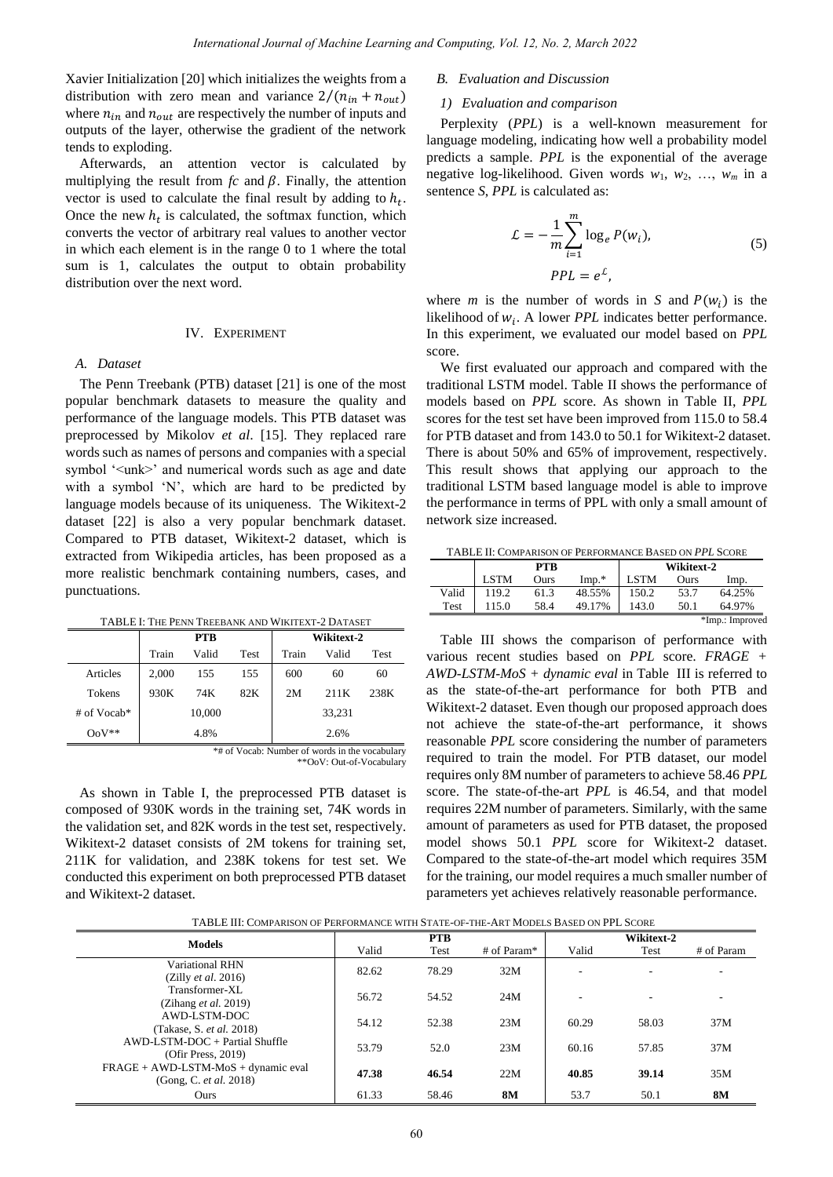Xavier Initialization [20] which initializes the weights from a distribution with zero mean and variance  $2/(n_{in} + n_{out})$ where  $n_{in}$  and  $n_{out}$  are respectively the number of inputs and outputs of the layer, otherwise the gradient of the network tends to exploding.

Afterwards, an attention vector is calculated by multiplying the result from  $fc$  and  $\beta$ . Finally, the attention vector is used to calculate the final result by adding to  $h_t$ . Once the new  $h_t$  is calculated, the softmax function, which converts the vector of arbitrary real values to another vector in which each element is in the range 0 to 1 where the total sum is 1, calculates the output to obtain probability distribution over the next word.

## IV. EXPERIMENT

#### *A. Dataset*

The Penn Treebank (PTB) dataset [21] is one of the most popular benchmark datasets to measure the quality and performance of the language models. This PTB dataset was preprocessed by Mikolov *et al*. [15]. They replaced rare words such as names of persons and companies with a special symbol '<unk>' and numerical words such as age and date with a symbol 'N', which are hard to be predicted by language models because of its uniqueness. The Wikitext-2 dataset [22] is also a very popular benchmark dataset. Compared to PTB dataset, Wikitext-2 dataset, which is extracted from Wikipedia articles, has been proposed as a more realistic benchmark containing numbers, cases, and punctuations.

TABLE I: THE PENN TREEBANK AND WIKITEXT-2 DATASET

|             |       | <b>PTB</b> |      | Wikitext-2 |        |      |  |
|-------------|-------|------------|------|------------|--------|------|--|
|             | Train | Valid      | Test | Train      | Valid  | Test |  |
| Articles    | 2,000 | 155        | 155  | 600        | 60     | 60   |  |
| Tokens      | 930K  | 74K        | 82K  | 2M         | 211K   | 238K |  |
| # of Vocab* |       | 10,000     |      |            | 33,231 |      |  |
| $OoV^*$     | 4.8%  |            |      | 2.6%       |        |      |  |

<sup>\*#</sup> of Vocab: Number of words in the vocabulary \*\*OoV: Out-of-Vocabulary

As shown in Table I, the preprocessed PTB dataset is composed of 930K words in the training set, 74K words in the validation set, and 82K words in the test set, respectively. Wikitext-2 dataset consists of 2M tokens for training set, 211K for validation, and 238K tokens for test set. We conducted this experiment on both preprocessed PTB dataset and Wikitext-2 dataset.

## *B. Evaluation and Discussion*

#### *1) Evaluation and comparison*

Perplexity (*PPL*) is a well-known measurement for language modeling, indicating how well a probability model predicts a sample. *PPL* is the exponential of the average negative log-likelihood. Given words  $w_1$ ,  $w_2$ , ...,  $w_m$  in a sentence *S*, *PPL* is calculated as:

$$
\mathcal{L} = -\frac{1}{m} \sum_{i=1}^{m} \log_e P(w_i),
$$
\n
$$
PPL = e^{\mathcal{L}},
$$
\n(5)

where *m* is the number of words in *S* and  $P(w_i)$  is the likelihood of  $w_i$ . A lower *PPL* indicates better performance. In this experiment, we evaluated our model based on *PPL* score.

We first evaluated our approach and compared with the traditional LSTM model. Table II shows the performance of models based on *PPL* score. As shown in Table II, *PPL* scores for the test set have been improved from 115.0 to 58.4 for PTB dataset and from 143.0 to 50.1 for Wikitext-2 dataset. There is about 50% and 65% of improvement, respectively. This result shows that applying our approach to the traditional LSTM based language model is able to improve the performance in terms of PPL with only a small amount of network size increased.

TABLE II: COMPARISON OF PERFORMANCE BASED ON *PPL* SCORE

|                 |             | PTB  |         |       | Wikitext-2 |        |
|-----------------|-------------|------|---------|-------|------------|--------|
|                 | <b>LSTM</b> | Ours | $Imp.*$ | LSTM  | Ours       | lmp.   |
| Valid           | 119.2       | 61.3 | 48.55%  | 150.2 | 53.7       | 64.25% |
| Test            |             | 58.4 | 49.17%  | 143.0 | 50.1       | 64.97% |
| *Imp.: Improved |             |      |         |       |            |        |

Table III shows the comparison of performance with various recent studies based on *PPL* score. *FRAGE + AWD-LSTM-MoS + dynamic eval* in Table III is referred to as the state-of-the-art performance for both PTB and Wikitext-2 dataset. Even though our proposed approach does not achieve the state-of-the-art performance, it shows reasonable *PPL* score considering the number of parameters required to train the model. For PTB dataset, our model requires only 8M number of parameters to achieve 58.46 *PPL* score. The state-of-the-art *PPL* is 46.54, and that model requires 22M number of parameters. Similarly, with the same amount of parameters as used for PTB dataset, the proposed model shows 50.1 *PPL* score for Wikitext-2 dataset. Compared to the state-of-the-art model which requires 35M for the training, our model requires a much smaller number of parameters yet achieves relatively reasonable performance.

TABLE III: COMPARISON OF PERFORMANCE WITH STATE-OF-THE-ART MODELS BASED ON PPL SCORE

| TADLE III. COMPARISON OF FERFORMANCE WITH STATE-OF-THE-ART MODELS DASED ON FFL SCORE |            |       |             |            |       |            |  |
|--------------------------------------------------------------------------------------|------------|-------|-------------|------------|-------|------------|--|
| <b>Models</b>                                                                        | <b>PTB</b> |       |             | Wikitext-2 |       |            |  |
|                                                                                      | Valid      | Test  | # of Param* | Valid      | Test  | # of Param |  |
| Variational RHN                                                                      | 82.62      | 78.29 | 32M         |            |       |            |  |
| (Zilly et al. 2016)                                                                  |            |       |             |            |       |            |  |
| Transformer-XL                                                                       | 56.72      | 54.52 | 24M         |            |       |            |  |
| (Zihang <i>et al.</i> 2019)                                                          |            |       |             |            |       |            |  |
| AWD-LSTM-DOC                                                                         | 54.12      | 52.38 | 23M         | 60.29      | 58.03 | 37M        |  |
| (Takase, S. <i>et al.</i> 2018)                                                      |            |       |             |            |       |            |  |
| $AWD-LSTM-DOC + Partial Shuffle$                                                     | 53.79      | 52.0  | 23M         | 60.16      | 57.85 | 37M        |  |
| (Ofir Press, 2019)                                                                   |            |       |             |            |       |            |  |
| $FRAGE + AWD\text{-}LSTM\text{-}MoS + dynamic eval$                                  | 47.38      | 46.54 | 22M         | 40.85      | 39.14 | 35M        |  |
| (Gong, C. et al. 2018)                                                               |            |       |             |            |       |            |  |
| Ours                                                                                 | 61.33      | 58.46 | <b>8M</b>   | 53.7       | 50.1  | 8M         |  |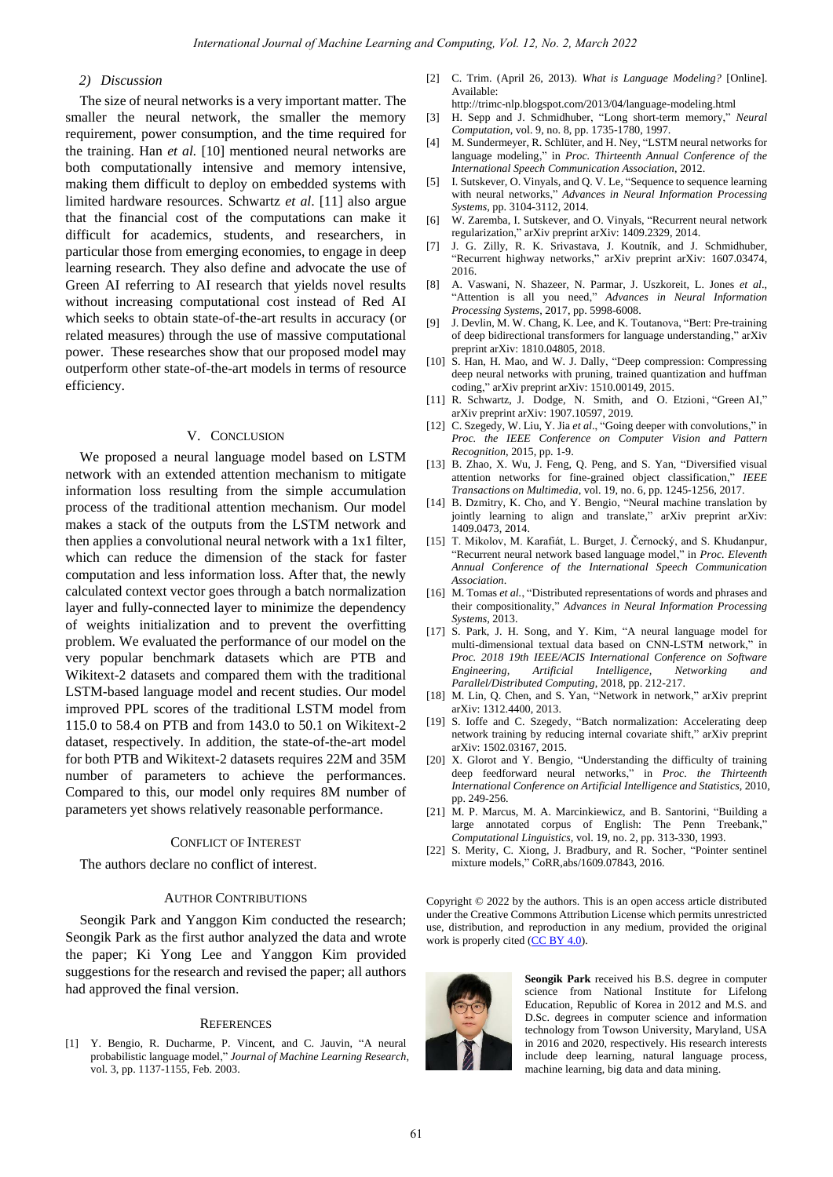## *2) Discussion*

The size of neural networks is a very important matter. The smaller the neural network, the smaller the memory requirement, power consumption, and the time required for the training. Han *et al.* [10] mentioned neural networks are both computationally intensive and memory intensive, making them difficult to deploy on embedded systems with limited hardware resources. Schwartz *et al*. [11] also argue that the financial cost of the computations can make it difficult for academics, students, and researchers, in particular those from emerging economies, to engage in deep learning research. They also define and advocate the use of Green AI referring to AI research that yields novel results without increasing computational cost instead of Red AI which seeks to obtain state-of-the-art results in accuracy (or related measures) through the use of massive computational power. These researches show that our proposed model may outperform other state-of-the-art models in terms of resource efficiency.

#### V. CONCLUSION

We proposed a neural language model based on LSTM network with an extended attention mechanism to mitigate information loss resulting from the simple accumulation process of the traditional attention mechanism. Our model makes a stack of the outputs from the LSTM network and then applies a convolutional neural network with a 1x1 filter, which can reduce the dimension of the stack for faster computation and less information loss. After that, the newly calculated context vector goes through a batch normalization layer and fully-connected layer to minimize the dependency of weights initialization and to prevent the overfitting problem. We evaluated the performance of our model on the very popular benchmark datasets which are PTB and Wikitext-2 datasets and compared them with the traditional LSTM-based language model and recent studies. Our model improved PPL scores of the traditional LSTM model from 115.0 to 58.4 on PTB and from 143.0 to 50.1 on Wikitext-2 dataset, respectively. In addition, the state-of-the-art model for both PTB and Wikitext-2 datasets requires 22M and 35M number of parameters to achieve the performances. Compared to this, our model only requires 8M number of parameters yet shows relatively reasonable performance.

#### CONFLICT OF INTEREST

The authors declare no conflict of interest.

#### AUTHOR CONTRIBUTIONS

Seongik Park and Yanggon Kim conducted the research; Seongik Park as the first author analyzed the data and wrote the paper; Ki Yong Lee and Yanggon Kim provided suggestions for the research and revised the paper; all authors had approved the final version.

#### **REFERENCES**

[1] Y. Bengio, R. Ducharme, P. Vincent, and C. Jauvin, "A neural probabilistic language model," *Journal of Machine Learning Research*, vol. 3, pp. 1137-1155, Feb. 2003.

- [2] C. Trim. (April 26, 2013). *What is Language Modeling?* [Online]. Available:
	- http://trimc-nlp.blogspot.com/2013/04/language-modeling.html
- [3] H. Sepp and J. Schmidhuber, "Long short-term memory," *Neural Computation*, vol. 9, no. 8, pp. 1735-1780, 1997.
- [4] M. Sundermeyer, R. Schlüter, and H. Ney, "LSTM neural networks for language modeling," in *Proc. Thirteenth Annual Conference of the International Speech Communication Association*, 2012.
- [5] I. Sutskever, O. Vinyals, and Q. V. Le, "Sequence to sequence learning with neural networks," *Advances in Neural Information Processing Systems*, pp. 3104-3112, 2014.
- [6] W. Zaremba, I. Sutskever, and O. Vinyals, "Recurrent neural network regularization," arXiv preprint arXiv: 1409.2329, 2014.
- [7] J. G. Zilly, R. K. Srivastava, J. Koutn k, and J. Schmidhuber, "Recurrent highway networks," arXiv preprint arXiv: 1607.03474, 2016.
- [8] A. Vaswani, N. Shazeer, N. Parmar, J. Uszkoreit, L. Jones *et al*., "Attention is all you need," *Advances in Neural Information Processing Systems*, 2017, pp. 5998-6008.
- [9] J. Devlin, M. W. Chang, K. Lee, and K. Toutanova, "Bert: Pre-training of deep bidirectional transformers for language understanding," arXiv preprint arXiv: 1810.04805, 2018.
- [10] S. Han, H. Mao, and W. J. Dally, "Deep compression: Compressing deep neural networks with pruning, trained quantization and huffman coding," arXiv preprint arXiv: 1510.00149, 2015.
- [11] R. Schwartz, J. Dodge, N. Smith, and O. Etzioni, "Green AI," arXiv preprint arXiv: 1907.10597, 2019.
- [12] C. Szegedy, W. Liu, Y. Jia *et al*., "Going deeper with convolutions," in *Proc. the IEEE Conference on Computer Vision and Pattern Recognition*, 2015, pp. 1-9.
- [13] B. Zhao, X. Wu, J. Feng, Q. Peng, and S. Yan, "Diversified visual attention networks for fine-grained object classification," *IEEE Transactions on Multimedia*, vol. 19, no. 6, pp. 1245-1256, 2017.
- [14] B. Dzmitry, K. Cho, and Y. Bengio, "Neural machine translation by jointly learning to align and translate," arXiv preprint arXiv: 1409.0473, 2014.
- [15] T. Mikolov, M. Karafiát, L. Burget, J. Černocký, and S. Khudanpur, "Recurrent neural network based language model," in *Proc. Eleventh Annual Conference of the International Speech Communication Association*.
- [16] M. Tomas *et al.*, "Distributed representations of words and phrases and their compositionality," *Advances in Neural Information Processing Systems*, 2013.
- [17] S. Park, J. H. Song, and Y. Kim, "A neural language model for multi-dimensional textual data based on CNN-LSTM network," in *Proc. 2018 19th IEEE/ACIS International Conference on Software Engineering, Artificial Intelligence, Networking and Parallel/Distributed Computing*, 2018, pp. 212-217.
- [18] M. Lin, Q. Chen, and S. Yan, "Network in network," arXiv preprint arXiv: 1312.4400, 2013.
- [19] S. Ioffe and C. Szegedy, "Batch normalization: Accelerating deep network training by reducing internal covariate shift," arXiv preprint arXiv: 1502.03167, 2015.
- [20] X. Glorot and Y. Bengio, "Understanding the difficulty of training deep feedforward neural networks," in *Proc. the Thirteenth International Conference on Artificial Intelligence and Statistics*, 2010, pp. 249-256.
- [21] M. P. Marcus, M. A. Marcinkiewicz, and B. Santorini, "Building a large annotated corpus of English: The Penn Treebank.' *Computational Linguistics*, vol. 19, no. 2, pp. 313-330, 1993.
- [22] S. Merity, C. Xiong, J. Bradbury, and R. Socher, "Pointer sentinel mixture models," CoRR,abs/1609.07843, 2016.

Copyright © 2022 by the authors. This is an open access article distributed under the Creative Commons Attribution License which permits unrestricted use, distribution, and reproduction in any medium, provided the original work is properly cited  $(CC BY 4.0)$ .



**Seongik Park** received his B.S. degree in computer science from National Institute for Lifelong Education, Republic of Korea in 2012 and M.S. and D.Sc. degrees in computer science and information technology from Towson University, Maryland, USA in 2016 and 2020, respectively. His research interests include deep learning, natural language process, machine learning, big data and data mining.